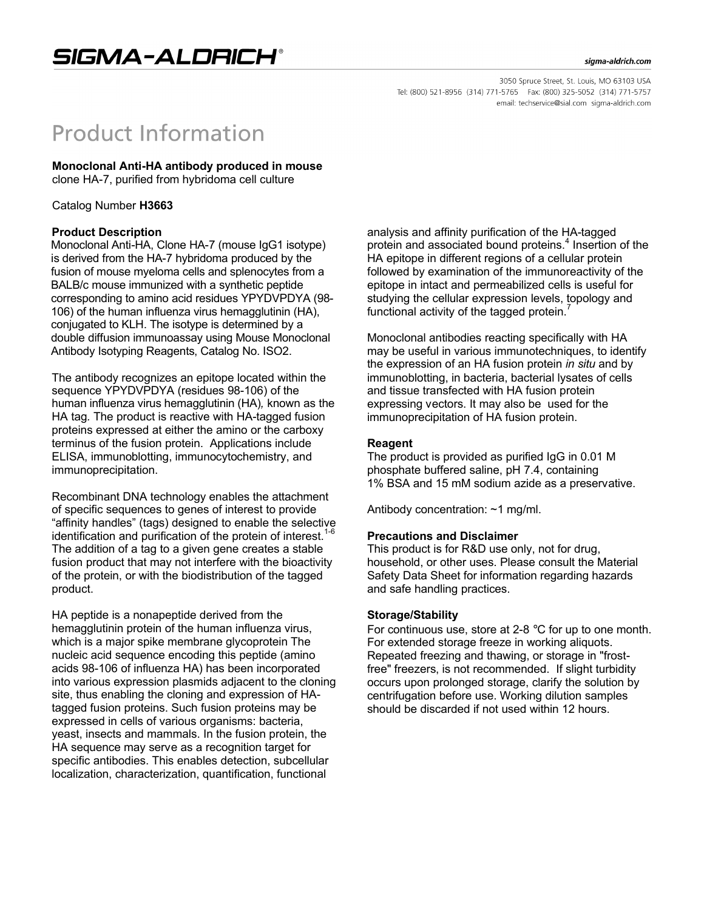#### sigma-aldrich.com

3050 Spruce Street, St. Louis, MO 63103 USA Tel: (800) 521-8956 (314) 771-5765 Fax: (800) 325-5052 (314) 771-5757 email: techservice@sial.com sigma-aldrich.com

# **Product Information**

# **Monoclonal Anti-HA antibody produced in mouse**

clone HA-7, purified from hybridoma cell culture

Catalog Number **H3663**

#### **Product Description**

Monoclonal Anti-HA, Clone HA-7 (mouse IgG1 isotype) is derived from the HA-7 hybridoma produced by the fusion of mouse myeloma cells and splenocytes from a BALB/c mouse immunized with a synthetic peptide corresponding to amino acid residues YPYDVPDYA (98- 106) of the human influenza virus hemagglutinin (HA), conjugated to KLH. The isotype is determined by a double diffusion immunoassay using Mouse Monoclonal Antibody Isotyping Reagents, Catalog No. ISO2.

The antibody recognizes an epitope located within the sequence YPYDVPDYA (residues 98-106) of the human influenza virus hemagglutinin (HA)*,* known as the HA tag*.* The product is reactive with HA-tagged fusion proteins expressed at either the amino or the carboxy terminus of the fusion protein. Applications include ELISA, immunoblotting, immunocytochemistry, and immunoprecipitation.

Recombinant DNA technology enables the attachment of specific sequences to genes of interest to provide "affinity handles" (tags) designed to enable the selective identification and purification of the protein of interest.<sup>1</sup> The addition of a tag to a given gene creates a stable fusion product that may not interfere with the bioactivity of the protein, or with the biodistribution of the tagged product.

HA peptide is a nonapeptide derived from the hemagglutinin protein of the human influenza virus, which is a major spike membrane glycoprotein The nucleic acid sequence encoding this peptide (amino acids 98-106 of influenza HA) has been incorporated into various expression plasmids adjacent to the cloning site, thus enabling the cloning and expression of HAtagged fusion proteins. Such fusion proteins may be expressed in cells of various organisms: bacteria, yeast, insects and mammals. In the fusion protein, the HA sequence may serve as a recognition target for specific antibodies. This enables detection, subcellular localization, characterization, quantification, functional

analysis and affinity purification of the HA-tagged protein and associated bound proteins.<sup>4</sup> Insertion of the HA epitope in different regions of a cellular protein followed by examination of the immunoreactivity of the epitope in intact and permeabilized cells is useful for studying the cellular expression levels, topology and functional activity of the tagged protein.<sup>7</sup>

Monoclonal antibodies reacting specifically with HA may be useful in various immunotechniques, to identify the expression of an HA fusion protein *in situ* and by immunoblotting, in bacteria, bacterial lysates of cells and tissue transfected with HA fusion protein expressing vectors. It may also be used for the immunoprecipitation of HA fusion protein.

## **Reagent**

The product is provided as purified IgG in 0.01 M phosphate buffered saline, pH 7.4, containing 1% BSA and 15 mM sodium azide as a preservative.

Antibody concentration: ~1 mg/ml.

#### **Precautions and Disclaimer**

This product is for R&D use only, not for drug, household, or other uses. Please consult the Material Safety Data Sheet for information regarding hazards and safe handling practices.

#### **Storage/Stability**

For continuous use, store at 2-8 °C for up to one month. For extended storage freeze in working aliquots. Repeated freezing and thawing, or storage in "frostfree" freezers, is not recommended. If slight turbidity occurs upon prolonged storage, clarify the solution by centrifugation before use. Working dilution samples should be discarded if not used within 12 hours.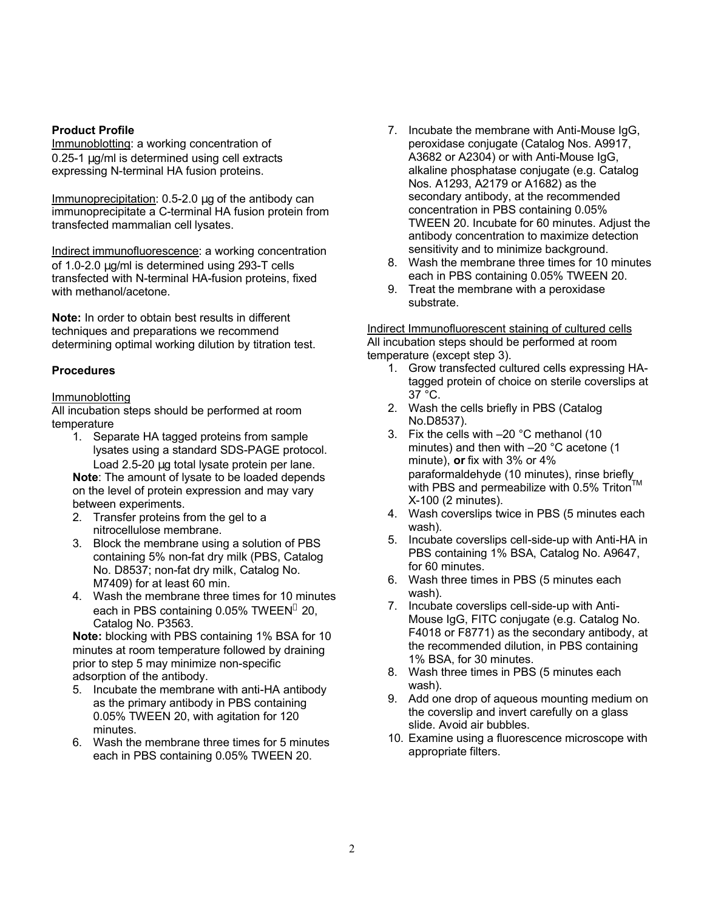#### **Product Profile**

Immunoblotting: a working concentration of 0.25-1 μg/ml is determined using cell extracts expressing N-terminal HA fusion proteins.

Immunoprecipitation: 0.5-2.0 μg of the antibody can immunoprecipitate a C-terminal HA fusion protein from transfected mammalian cell lysates.

Indirect immunofluorescence: a working concentration of 1.0-2.0 μg/ml is determined using 293-T cells transfected with N-terminal HA-fusion proteins, fixed with methanol/acetone.

**Note:** In order to obtain best results in different techniques and preparations we recommend determining optimal working dilution by titration test.

## **Procedures**

#### **Immunoblotting**

All incubation steps should be performed at room temperature

1. Separate HA tagged proteins from sample lysates using a standard SDS-PAGE protocol. Load 2.5-20 μg total lysate protein per lane.

**Note**: The amount of lysate to be loaded depends on the level of protein expression and may vary between experiments.

- 2. Transfer proteins from the gel to a nitrocellulose membrane.
- 3. Block the membrane using a solution of PBS containing 5% non-fat dry milk (PBS, Catalog No. D8537; non-fat dry milk, Catalog No. M7409) for at least 60 min.
- 4. Wash the membrane three times for 10 minutes each in PBS containing 0.05% TWEEN<sup>®</sup> 20, Catalog No. P3563.

**Note:** blocking with PBS containing 1% BSA for 10 minutes at room temperature followed by draining prior to step 5 may minimize non-specific adsorption of the antibody.

- 5. Incubate the membrane with anti-HA antibody as the primary antibody in PBS containing 0.05% TWEEN 20, with agitation for 120 minutes.
- 6. Wash the membrane three times for 5 minutes each in PBS containing 0.05% TWEEN 20.
- 7. Incubate the membrane with Anti-Mouse IgG, peroxidase conjugate (Catalog Nos. A9917, A3682 or A2304) or with Anti-Mouse IgG, alkaline phosphatase conjugate (e.g. Catalog Nos. A1293, A2179 or A1682) as the secondary antibody, at the recommended concentration in PBS containing 0.05% TWEEN 20. Incubate for 60 minutes. Adjust the antibody concentration to maximize detection sensitivity and to minimize background.
- 8. Wash the membrane three times for 10 minutes each in PBS containing 0.05% TWEEN 20.
- 9. Treat the membrane with a peroxidase substrate.

Indirect Immunofluorescent staining of cultured cells All incubation steps should be performed at room temperature (except step 3).

- 1. Grow transfected cultured cells expressing HAtagged protein of choice on sterile coverslips at 37 °C.
- 2. Wash the cells briefly in PBS (Catalog No.D8537).
- 3. Fix the cells with –20 °C methanol (10 minutes) and then with –20 °C acetone (1 minute), **or** fix with 3% or 4% paraformaldehyde (10 minutes), rinse briefly with PBS and permeabilize with 0.5% Triton™ X-100 (2 minutes).
- 4. Wash coverslips twice in PBS (5 minutes each wash).
- 5. Incubate coverslips cell-side-up with Anti-HA in PBS containing 1% BSA, Catalog No. A9647, for 60 minutes.
- 6. Wash three times in PBS (5 minutes each wash).
- 7. Incubate coverslips cell-side-up with Anti-Mouse IgG, FITC conjugate (e.g. Catalog No. F4018 or F8771) as the secondary antibody, at the recommended dilution, in PBS containing 1% BSA, for 30 minutes.
- 8. Wash three times in PBS (5 minutes each wash).
- 9. Add one drop of aqueous mounting medium on the coverslip and invert carefully on a glass slide. Avoid air bubbles.
- 10. Examine using a fluorescence microscope with appropriate filters.